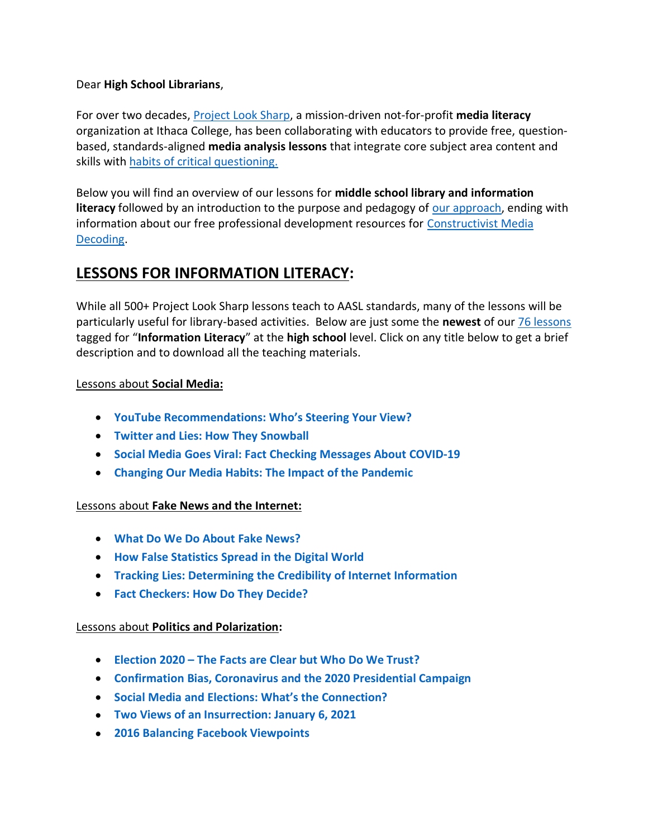### Dear **High School Librarians**,

For over two decades, [Project Look Sharp,](https://www.projectlooksharp.org/) a mission-driven not-for-profit **media literacy** organization at Ithaca College, has been collaborating with educators to provide free, questionbased, standards-aligned **media analysis lessons** that integrate core subject area content and skills with [habits of critical questioning.](https://projectlooksharp.org/Resources%202/Key-Questions-for-Decoding%20Dec-21.pdf)

Below you will find an overview of our lessons for **middle school library and information literacy** followed by an introduction to the purpose and pedagogy of [our approach,](https://projectlooksharp.org/our-approach.php) ending with information about our free professional development resources for [Constructivist Media](https://projectlooksharp.org/our-approach.php#Constructivist)  [Decoding.](https://projectlooksharp.org/our-approach.php#Constructivist)

# **LESSONS FOR INFORMATION LITERACY:**

While all 500+ Project Look Sharp lessons teach to AASL standards, many of the lessons will be particularly useful for library-based activities. Below are just some the **newest** of our [76 lessons](https://projectlooksharp.org/search-result.php?limit=10&search%5Bkeyword%5D=%22information+literacy%22&search%5Bcategory%5D=lessons&search_filter%5Bresource_grade_level%5D%5B%5D=high+school) tagged for "**Information Literacy**" at the **high school** level. Click on any title below to get a brief description and to download all the teaching materials.

#### Lessons about **Social Media:**

- **YouTube [Recommendations:](https://projectlooksharp.org/front_end_resource.php?resource_id=464) Who's Steering Your View?**
- **Twitter and Lies: How They [Snowball](https://projectlooksharp.org/front_end_resource.php?resource_id=468)**
- **Social Media Goes Viral: Fact Checking [Messages](https://projectlooksharp.org/front_end_resource.php?resource_id=503) About COVID-19**
- **Changing Our Media Habits: The Impact of the [Pandemic](https://projectlooksharp.org/front_end_resource.php?resource_id=508)**

#### Lessons about **Fake News and the Internet:**

- **What Do We Do About Fake [News?](https://projectlooksharp.org/front_end_resource.php?resource_id=475)**
- **How False [Statistics](https://projectlooksharp.org/front_end_resource.php?resource_id=466) Spread in the Digital World**
- **Tracking Lies: [Determining](https://projectlooksharp.org/front_end_resource.php?resource_id=449) the Credibility of Internet Information**
- **Fact [Checkers:](https://projectlooksharp.org/front_end_resource.php?resource_id=495) How Do They Decide?**

#### Lessons about **Politics and Polarization:**

- **[Election](https://projectlooksharp.org/front_end_resource.php?resource_id=565) 2020 – The Facts are Clear but Who Do We Trust?**
- **[Confirmation](https://projectlooksharp.org/front_end_resource.php?resource_id=520) Bias, Coronavirus and the 2020 Presidential Campaign**
- **Social Media and Elections: What's the [Connection?](https://projectlooksharp.org/front_end_resource.php?resource_id=497)**
- **Two Views of an [Insurrection:](https://projectlooksharp.org/front_end_resource.php?resource_id=553) January 6, 2021**
- **2016 Balancing Facebook [Viewpoints](https://projectlooksharp.org/front_end_resource.php?resource_id=392)**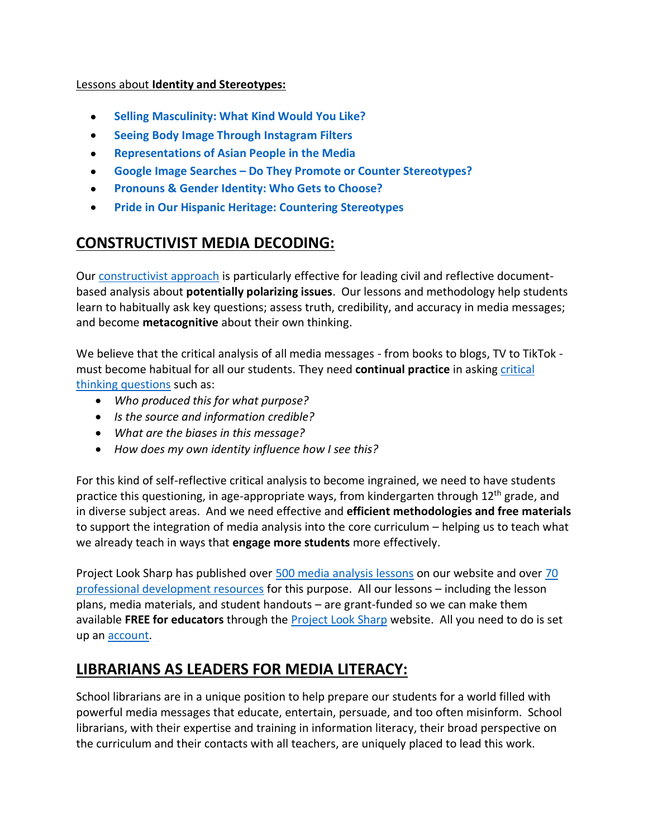### Lessons about **Identity and Stereotypes:**

- **Selling [Masculinity:](https://projectlooksharp.org/front_end_resource.php?resource_id=460) What Kind Would You Like?**
- **Seeing Body Image Through [Instagram](https://projectlooksharp.org/front_end_resource.php?resource_id=489) Filters**
- **[Representations](https://www.projectlooksharp.org/front_end_resource.php?resource_id=560) of Asian People in the Media**
- **Google Image Searches – Do They Promote or Counter [Stereotypes?](https://www.projectlooksharp.org/front_end_resource.php?resource_id=483)**
- **[Pronouns](https://www.projectlooksharp.org/front_end_resource.php?resource_id=467) & Gender Identity: Who Gets to Choose?**
- **Pride in Our Hispanic Heritage: Countering [Stereotypes](https://www.projectlooksharp.org/front_end_resource.php?resource_id=472)**

# **CONSTRUCTIVIST MEDIA DECODING:**

Our [constructivist approach](https://projectlooksharp.org/our-approach.php) is particularly effective for leading civil and reflective documentbased analysis about **potentially polarizing issues**. Our lessons and methodology help students learn to habitually ask key questions; assess truth, credibility, and accuracy in media messages; and become **metacognitive** about their own thinking.

We believe that the critical analysis of all media messages - from books to blogs, TV to TikTok must become habitual for all our students. They need **continual practice** in asking [critical](https://projectlooksharp.org/Resources%202/Project%20Look%20Sharp%20Key%20Questions%20Both.pdf)  [thinking questions](https://projectlooksharp.org/Resources%202/Project%20Look%20Sharp%20Key%20Questions%20Both.pdf) such as:

- *Who produced this for what purpose?*
- *Is the source and information credible?*
- *What are the biases in this message?*
- *How does my own identity influence how I see this?*

For this kind of self-reflective critical analysis to become ingrained, we need to have students practice this questioning, in age-appropriate ways, from kindergarten through  $12<sup>th</sup>$  grade, and in diverse subject areas. And we need effective and **efficient methodologies and free materials** to support the integration of media analysis into the core curriculum – helping us to teach what we already teach in ways that **engage more students** more effectively.

Project Look Sharp has published over [500 media analysis lessons](https://www.projectlooksharp.org/search-result.php?search%5Bkeyword%5D=&search%5Bcategory%5D=lessons) on our website and over [70](https://www.projectlooksharp.org/search-result.php?search%5Bkeyword%5D=&search%5Bcategory%5D=PD)  [professional development resources](https://www.projectlooksharp.org/search-result.php?search%5Bkeyword%5D=&search%5Bcategory%5D=PD) for this purpose. All our lessons – including the lesson plans, media materials, and student handouts – are grant-funded so we can make them available **FREE for educators** through the [Project Look Sharp](https://projectlooksharp.org/index.php) website. All you need to do is set up an [account.](https://projectlooksharp.org/register.php)

# **LIBRARIANS AS LEADERS FOR MEDIA LITERACY:**

School librarians are in a unique position to help prepare our students for a world filled with powerful media messages that educate, entertain, persuade, and too often misinform. School librarians, with their expertise and training in information literacy, their broad perspective on the curriculum and their contacts with all teachers, are uniquely placed to lead this work.